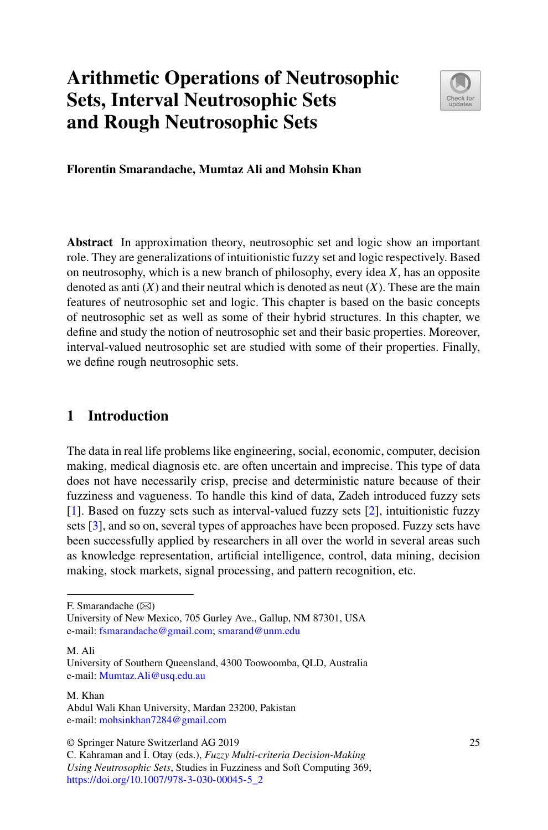# **Arithmetic Operations of Neutrosophic Sets, Interval Neutrosophic Sets and Rough Neutrosophic Sets**



**Florentin Smarandache, Mumtaz Ali and Mohsin Khan**

**Abstract** In approximation theory, neutrosophic set and logic show an important role. They are generalizations of intuitionistic fuzzy set and logic respectively. Based on neutrosophy, which is a new branch of philosophy, every idea *X*, has an opposite denoted as anti  $(X)$  and their neutral which is denoted as neut  $(X)$ . These are the main features of neutrosophic set and logic. This chapter is based on the basic concepts of neutrosophic set as well as some of their hybrid structures. In this chapter, we define and study the notion of neutrosophic set and their basic properties. Moreover, interval-valued neutrosophic set are studied with some of their properties. Finally, we define rough neutrosophic sets.

# <span id="page-0-0"></span>**1 Introduction**

The data in real life problems like engineering, social, economic, computer, decision making, medical diagnosis etc. are often uncertain and imprecise. This type of data does not have necessarily crisp, precise and deterministic nature because of their fuzziness and vagueness. To handle this kind of data, Zadeh introduced fuzzy sets [\[1\]](#page-17-0). Based on fuzzy sets such as interval-valued fuzzy sets [\[2\]](#page-17-1), intuitionistic fuzzy sets [\[3\]](#page-17-2), and so on, several types of approaches have been proposed. Fuzzy sets have been successfully applied by researchers in all over the world in several areas such as knowledge representation, artificial intelligence, control, data mining, decision making, stock markets, signal processing, and pattern recognition, etc.

M. Ali

#### M. Khan

© Springer Nature Switzerland AG 2019

F. Smarandache  $(\boxtimes)$ 

University of New Mexico, 705 Gurley Ave., Gallup, NM 87301, USA e-mail: [fsmarandache@gmail.com;](mailto:fsmarandache@gmail.com) [smarand@unm.edu](mailto:smarand@unm.edu)

University of Southern Queensland, 4300 Toowoomba, QLD, Australia e-mail: [Mumtaz.Ali@usq.edu.au](mailto:Mumtaz.Ali@usq.edu.au)

Abdul Wali Khan University, Mardan 23200, Pakistan e-mail: [mohsinkhan7284@gmail.com](mailto:mohsinkhan7284@gmail.com)

C. Kahraman and ˙I. Otay (eds.), *Fuzzy Multi-criteria Decision-Making Using Neutrosophic Sets*, Studies in Fuzziness and Soft Computing 369, [https://doi.org/10.1007/978-3-030-00045-5\\_2](https://doi.org/10.1007/978-3-030-00045-5_2)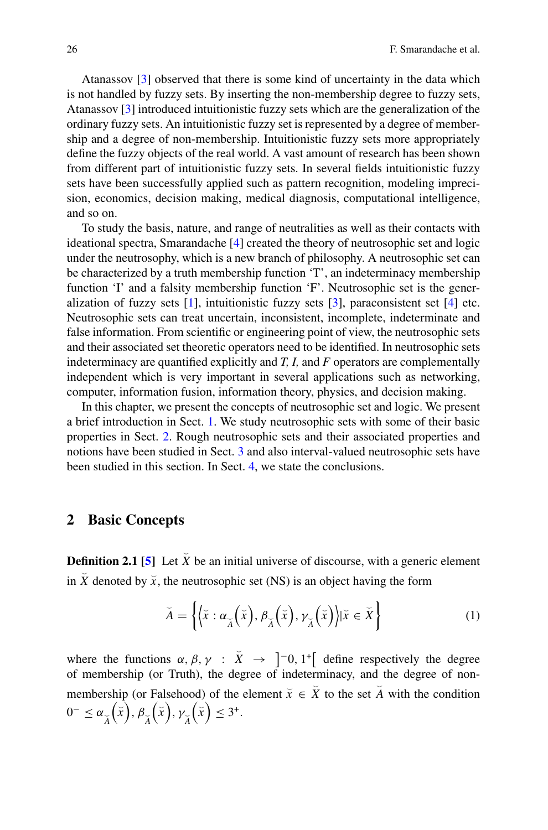Atanassov [\[3\]](#page-17-2) observed that there is some kind of uncertainty in the data which is not handled by fuzzy sets. By inserting the non-membership degree to fuzzy sets, Atanassov [\[3\]](#page-17-2) introduced intuitionistic fuzzy sets which are the generalization of the ordinary fuzzy sets. An intuitionistic fuzzy set is represented by a degree of membership and a degree of non-membership. Intuitionistic fuzzy sets more appropriately define the fuzzy objects of the real world. A vast amount of research has been shown from different part of intuitionistic fuzzy sets. In several fields intuitionistic fuzzy sets have been successfully applied such as pattern recognition, modeling imprecision, economics, decision making, medical diagnosis, computational intelligence, and so on.

To study the basis, nature, and range of neutralities as well as their contacts with ideational spectra, Smarandache [\[4\]](#page-17-3) created the theory of neutrosophic set and logic under the neutrosophy, which is a new branch of philosophy. A neutrosophic set can be characterized by a truth membership function 'T', an indeterminacy membership function 'I' and a falsity membership function 'F'. Neutrosophic set is the generalization of fuzzy sets  $[1]$ , intuitionistic fuzzy sets  $[3]$ , paraconsistent set  $[4]$  etc. Neutrosophic sets can treat uncertain, inconsistent, incomplete, indeterminate and false information. From scientific or engineering point of view, the neutrosophic sets and their associated set theoretic operators need to be identified. In neutrosophic sets indeterminacy are quantified explicitly and *T, I,* and *F* operators are complementally independent which is very important in several applications such as networking, computer, information fusion, information theory, physics, and decision making.

In this chapter, we present the concepts of neutrosophic set and logic. We present a brief introduction in Sect. [1.](#page-0-0) We study neutrosophic sets with some of their basic properties in Sect. [2.](#page-1-0) Rough neutrosophic sets and their associated properties and notions have been studied in Sect. [3](#page-3-0) and also interval-valued neutrosophic sets have been studied in this section. In Sect. [4,](#page-17-4) we state the conclusions.

#### <span id="page-1-0"></span>**2 Basic Concepts**

**Definition 2.1 [\[5\]](#page-17-5)** Let  $\bar{X}$  be an initial universe of discourse, with a generic element in  $\breve{X}$  denoted by  $\breve{x}$ , the neutrosophic set (NS) is an object having the form

$$
\breve{A} = \left\{ \left\langle \breve{x} : \alpha_{\breve{A}} \left( \breve{x} \right), \beta_{\breve{A}} \left( \breve{x} \right), \gamma_{\breve{A}} \left( \breve{x} \right) \right\rangle | \breve{x} \in \breve{X} \right\}
$$
(1)

where the functions  $\alpha$ ,  $\beta$ ,  $\gamma$  :  $\overline{X}$   $\rightarrow$   $]$ <sup>-</sup>0, 1<sup>+</sup>[ define respectively the degree of membership (or Truth), the degree of indeterminacy, and the degree of nonmembership (or Falsehood) of the element  $\overline{x} \in \overline{X}$  to the set  $\overline{A}$  with the condition  $0^-$  ≤ α<sub>→</sub><br>*A*  $\left(\breve{x}\right), \beta_{\breve{A}}$  $\left(\check{x}\right)$ ,  $\gamma_{\check{A}}$  $\left(\bar{x}\right) \leq 3^{\circ}.$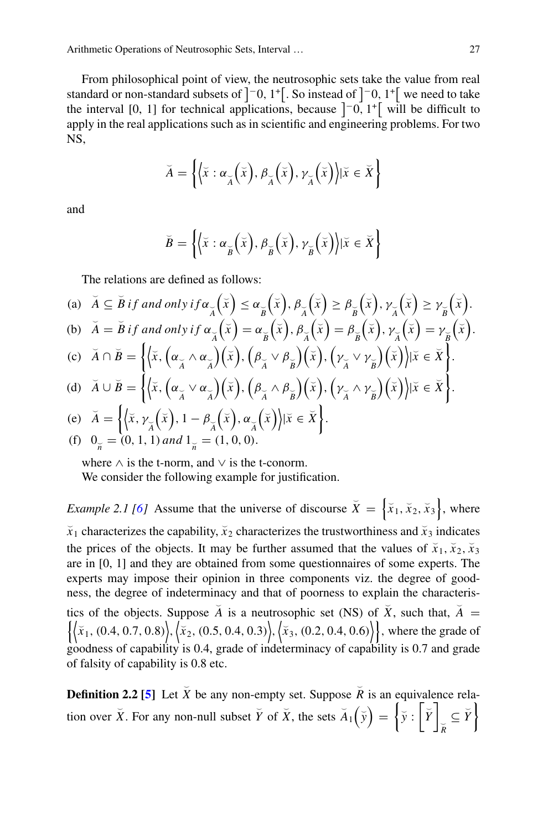From philosophical point of view, the neutrosophic sets take the value from real standard or non-standard subsets of  $\vert$  -0, 1<sup>+</sup> [. So instead of  $\vert$  -0, 1<sup>+</sup> [ we need to take the interval [0, 1] for technical applications, because  $\begin{bmatrix} -0, 1 \\ 0, 1 \end{bmatrix}$  will be difficult to apply in the real applications such as in scientific and engineering problems. For two NS,

$$
\breve{A} = \left\{ \left\langle \breve{x} : \alpha_{\breve{A}} \left( \breve{x} \right), \beta_{\breve{A}} \left( \breve{x} \right), \gamma_{\breve{A}} \left( \breve{x} \right) \right\rangle | \breve{x} \in \breve{X} \right\}
$$

and

$$
\breve{B} = \left\{ \left\langle \breve{x} : \alpha_{\breve{B}} \left( \breve{x} \right), \beta_{\breve{B}} \left( \breve{x} \right), \gamma_{\breve{B}} \left( \breve{x} \right) \right\rangle | \breve{x} \in \breve{X} \right\}
$$

The relations are defined as follows:

(a) 
$$
\breve{A} \subseteq \breve{B}
$$
 if and only if  $\alpha_{\breve{A}}(\breve{x}) \leq \alpha_{\breve{B}}(\breve{x})$ ,  $\beta_{\breve{A}}(\breve{x}) \geq \beta_{\breve{B}}(\breve{x})$ ,  $\gamma_{\breve{A}}(\breve{x}) \geq \gamma_{\breve{B}}(\breve{x})$ .  
\n(b)  $\breve{A} = \breve{B}$  if and only if  $\alpha_{\breve{A}}(\breve{x}) = \alpha_{\breve{B}}(\breve{x})$ ,  $\beta_{\breve{A}}(\breve{x}) = \beta_{\breve{B}}(\breve{x})$ ,  $\gamma_{\breve{A}}(\breve{x}) = \gamma_{\breve{B}}(\breve{x})$ .

(c) 
$$
\check{A} \cap \check{B} = \left\{ \left\langle \check{x}, \left( \alpha_{\check{A}} \wedge \alpha_{\check{A}} \right) \left( \check{x} \right), \left( \beta_{\check{A}} \vee \beta_{\check{B}} \right) \left( \check{x} \right), \left( \gamma_{\check{A}} \vee \gamma_{\check{B}} \right) \left( \check{x} \right) \right\rangle | \check{x} \in \check{X} \right\}.
$$

(d) 
$$
\widetilde{A} \cup \widetilde{B} = \left\{ \left\langle \widetilde{x}, \left( \alpha_{\widetilde{A}} \vee \alpha_{\widetilde{A}} \right) \left( \widetilde{x} \right), \left( \beta_{\widetilde{A}} \wedge \beta_{\widetilde{B}} \right) \left( \widetilde{x} \right), \left( \gamma_{\widetilde{A}} \wedge \gamma_{\widetilde{B}} \right) \left( \widetilde{x} \right) \right| | \widetilde{x} \in \widetilde{X} \right\}.
$$

(e) 
$$
\breve{A} = \left\{ \left\langle \breve{x}, \gamma_{\breve{A}} \left( \breve{x} \right), 1 - \beta_{\breve{A}} \left( \breve{x} \right), \alpha_{\breve{A}} \left( \breve{x} \right) \right\rangle | \breve{x} \in \breve{X} \right\}.
$$
  
(f)  $0_{\breve{n}} = (0, 1, 1)$  and  $1_{\breve{n}} = (1, 0, 0).$ 

where  $\land$  is the t-norm, and  $\lor$  is the t-conorm.

We consider the following example for justification.

*Example 2.1 [\[6\]](#page-17-6)* Assume that the universe of discourse  $\overline{X} = \left\{ \overline{x}_1, \overline{x}_2, \overline{x}_3 \right\}$ , where  $\bar{x}_1$  characterizes the capability,  $\bar{x}_2$  characterizes the trustworthiness and  $\bar{x}_3$  indicates the prices of the objects. It may be further assumed that the values of  $\tilde{x}_1$ ,  $\tilde{x}_2$ ,  $\tilde{x}_3$ are in [0, 1] and they are obtained from some questionnaires of some experts. The experts may impose their opinion in three components viz. the degree of goodness, the degree of indeterminacy and that of poorness to explain the characteristics of the objects. Suppose  $\overline{A}$  is a neutrosophic set (NS) of  $\overline{X}$ , such that,  $\overline{A} =$  $\{\langle \tilde{x}_1,(0.4, 0.7, 0.8) \rangle, \langle \tilde{x}_2,(0.5, 0.4, 0.3) \rangle, \langle \tilde{x}_3,(0.2, 0.4, 0.6) \rangle\}$ , where the grade of goodness of capability is 0.4, grade of indeterminacy of capability is 0.7 and grade of falsity of capability is 0.8 etc.

**Definition 2.2 [\[5\]](#page-17-5)** Let  $\breve{X}$  be any non-empty set. Suppose  $\breve{R}$  is an equivalence relation over  $\check{X}$ . For any non-null subset  $\check{Y}$  of  $\check{X}$ , the sets  $\check{A}_1(\check{y}) = \{ \check{y} : \check{Y} \}$  $\left[\sum_{\overline{R}} \subseteq \overline{Y}\right]$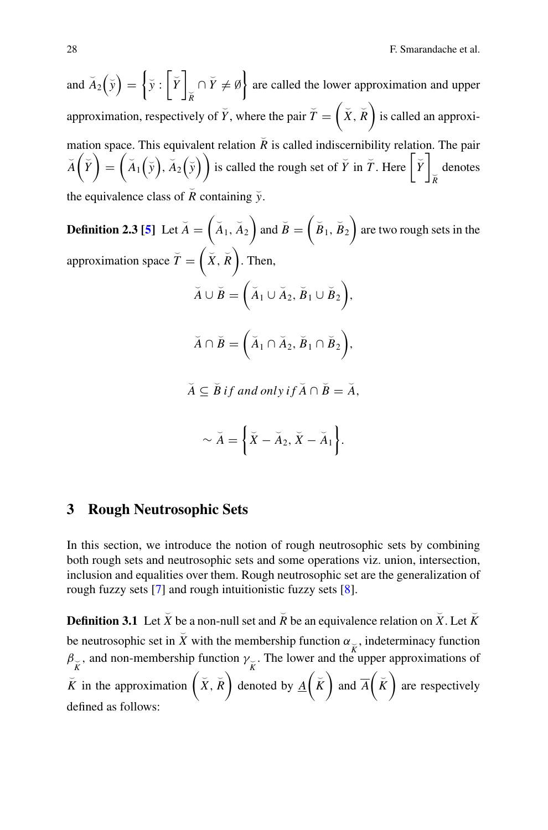and  $\overline{A}_2(\overline{y}) = \{ \overline{y} : |\overline{Y}| \}$  $\left\{\overline{Y} \neq \emptyset\right\}$  are called the lower approximation and upper approximation, respectively of  $\breve{Y}$ , where the pair  $\breve{T} = \left(\breve{X}, \breve{R}\right)$  is called an approximation space. This equivalent relation  $\tilde{R}$  is called indiscernibility relation. The pair  $\breve{A}\left(\breve{Y}\right)$  $=\left(\check{A}_1(\check{y}), \check{A}_2(\check{y})\right)$  is called the rough set of  $\check{Y}$  in  $\check{T}$ . Here  $|\check{Y}|$ - *R* denotes the equivalence class of  $\tilde{R}$  containing  $\tilde{y}$ .

**Definition 2.3 [\[5\]](#page-17-5)** Let  $\breve{A} = \begin{pmatrix} \breve{A}_1, \breve{A}_2 \end{pmatrix}$  and  $\breve{B} = \begin{pmatrix} \breve{B}_1, \breve{B}_2 \end{pmatrix}$  are two rough sets in the approximation space  $\breve{T} = \left(\breve{X}, \breve{R}\right)$ . Then,  $\breve{A} \cup \breve{B} = (\breve{A}_1 \cup \breve{A}_2, \breve{B}_1 \cup \breve{B}_2),$  $\breve{A} \cap \breve{B} = (\breve{A}_1 \cap \breve{A}_2, \breve{B}_1 \cap \breve{B}_2),$  $\widetilde{A} \subseteq \widetilde{B}$  if and only if  $\widetilde{A} \cap \widetilde{B} = \widetilde{A}$ ,  $\sim \breve{A} = \left\{ \breve{X} - \breve{A}_2, \breve{X} - \breve{A}_1 \right\}.$ 

## <span id="page-3-0"></span>**3 Rough Neutrosophic Sets**

In this section, we introduce the notion of rough neutrosophic sets by combining both rough sets and neutrosophic sets and some operations viz. union, intersection, inclusion and equalities over them. Rough neutrosophic set are the generalization of rough fuzzy sets [\[7\]](#page-17-7) and rough intuitionistic fuzzy sets [\[8\]](#page-17-8).

<span id="page-3-1"></span>**Definition 3.1** Let  $\bar{X}$  be a non-null set and  $\bar{R}$  be an equivalence relation on  $\bar{X}$ . Let  $\bar{K}$ be neutrosophic set in  $\bar{X}$  with the membership function  $\alpha_{\alpha}$ , indeterminacy function  $\beta_{\vec{k}}$ , and non-membership function  $\gamma_{\vec{k}}$ . The lower and the upper approximations of  $\overline{K}$  in the approximation  $(\overline{X}, \overline{R})$  denoted by  $\underline{A}(\overline{K})$  and  $\overline{A}(\overline{K})$  are respectively defined as follows: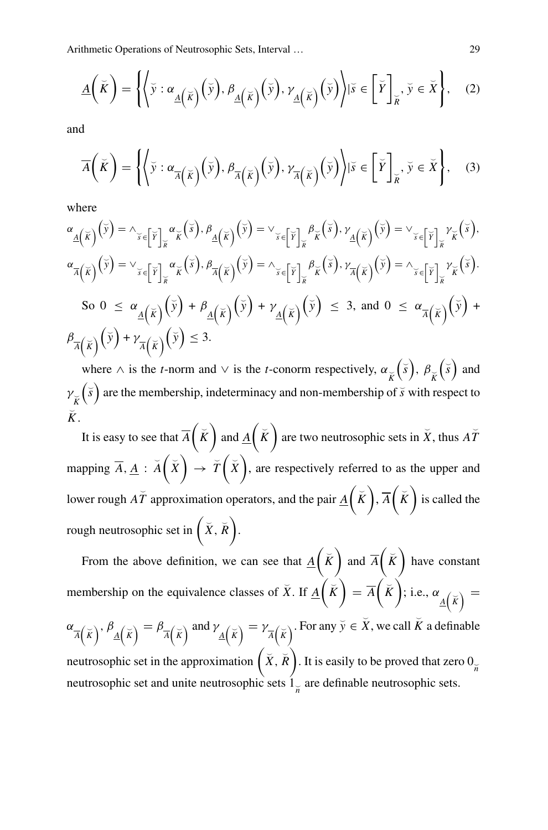$$
\underline{A}\left(\breve{K}\right) = \left\{ \left\langle \breve{y} : \alpha_{\underline{A}\left(\breve{K}\right)}\left(\breve{y}\right), \beta_{\underline{A}\left(\breve{K}\right)}\left(\breve{y}\right), \gamma_{\underline{A}\left(\breve{K}\right)}\left(\breve{y}\right) \right| \breve{y} \in \breve{K} \right\}, \quad (2)
$$

and

$$
\overline{A}\left(\breve{K}\right) = \left\{ \left\langle \breve{y} : \alpha_{\overline{A}\left(\breve{K}\right)}\left(\breve{y}\right), \beta_{\overline{A}\left(\breve{K}\right)}\left(\breve{y}\right), \gamma_{\overline{A}\left(\breve{K}\right)}\left(\breve{y}\right) \right| \breve{y} \in \left[\breve{Y}\right]_{\breve{K}}, \breve{y} \in \breve{X} \right\}, \quad (3)
$$

where

$$
\alpha_{\underline{A}}(\overline{\kappa})(\overline{y}) = \lambda_{\overline{s} \in [\overline{Y}]_{\overline{K}}} \alpha_{\overline{K}}(\overline{s}), \beta_{\underline{A}}(\overline{\kappa})(\overline{y}) = \vee_{\overline{s} \in [\overline{Y}]_{\overline{K}}} \beta_{\overline{K}}(\overline{s}), \gamma_{\underline{A}}(\overline{\kappa})(\overline{y}) = \vee_{\overline{s} \in [\overline{Y}]_{\overline{K}}} \gamma_{\overline{K}}(\overline{s}),
$$
  

$$
\alpha_{\overline{A}}(\overline{\kappa})(\overline{y}) = \vee_{\overline{s} \in [\overline{Y}]_{\overline{K}}} \alpha_{\overline{K}}(\overline{s}), \beta_{\overline{A}}(\overline{\kappa})(\overline{y}) = \wedge_{\overline{s} \in [\overline{Y}]_{\overline{K}}} \beta_{\overline{K}}(\overline{s}), \gamma_{\overline{A}}(\overline{\kappa})(\overline{y}) = \wedge_{\overline{s} \in [\overline{Y}]_{\overline{K}}} \gamma_{\overline{K}}(\overline{s}).
$$
  
So  $0 \le \alpha_{\underline{A}}(\overline{\kappa})(\overline{y}) + \beta_{\underline{A}}(\overline{\kappa})(\overline{y}) + \gamma_{\underline{A}}(\overline{\kappa})(\overline{y}) \le 3$ , and  $0 \le \alpha_{\overline{A}}(\overline{\kappa})(\overline{y}) + \beta_{\overline{A}}(\overline{\kappa})(\overline{y}) + \gamma_{\overline{A}}(\overline{\kappa})(\overline{y}) + \gamma_{\overline{A}}(\overline{\kappa})(\overline{y}) + \gamma_{\overline{A}}(\overline{\kappa})(\overline{y}) + \gamma_{\overline{A}}(\overline{\kappa})(\overline{y}) + \gamma_{\overline{A}}(\overline{\kappa})(\overline{y}) + \gamma_{\overline{A}}(\overline{\kappa})(\overline{y}) + \gamma_{\overline{A}}(\overline{\kappa})(\overline{y}) + \gamma_{\overline{A}}(\overline{\kappa})(\overline{y}) + \gamma_{\overline{A}}(\overline{\kappa})(\overline{y}) + \gamma_{\overline{A}}(\overline{\kappa})(\overline{y}) + \gamma_{\overline{A}}(\overline{\kappa})(\overline{y})$ 

where  $\wedge$  is the *t*-norm and  $\vee$  is the *t*-conorm respectively,  $\alpha_{\overrightarrow{K}}$  $\left(\bar{s}\right), \beta_{\bar{K}}$  $(\check{s})$  and  $v_{\breve{\breve{K}}}$  $\left(\vec{s}\right)$  are the membership, indeterminacy and non-membership of  $\vec{s}$  with respect to - *K*.

It is easy to see that  $\overline{A}(\check{K})$  and  $\underline{A}(\check{K})$  are two neutrosophic sets in  $\check{X}$ , thus  $\overline{A\check{T}}$ mapping  $\overline{A}$ ,  $\underline{A}$  :  $\breve{A}(\breve{X}) \rightarrow \breve{T}(\breve{X})$ , are respectively referred to as the upper and lower rough  $\overline{AT}$  approximation operators, and the pair  $\underline{A}(\breve{K}), \overline{A}(\breve{K})$  is called the rough neutrosophic set in  $(X, \breve{R})$ .

From the above definition, we can see that  $\underline{A}(\check{K})$  and  $\overline{A}(\check{K})$  have constant membership on the equivalence classes of  $\check{X}$ . If  $\underline{A}(\check{K})$  $=\overline{A}(\overline{K})$ ; i.e.,  $\alpha_{\underline{A}(\overline{K})} =$  $\alpha_{\overline{A}(\overline{K})}$ ,  $\beta_{\overline{A}(\overline{K})} = \beta_{\overline{A}(\overline{K})}$  and  $\gamma_{\overline{A}(\overline{K})} = \gamma_{\overline{A}(\overline{K})}$ . For any  $\overline{y} \in \overline{X}$ , we call  $\overline{K}$  a definable neutrosophic set in the approximation  $(X, \breve{R})$ . It is easily to be proved that zero  $0_{\breve{R}}$ neutrosophic set and unite neutrosophic sets  $1_{\widetilde{n}}$  are definable neutrosophic sets.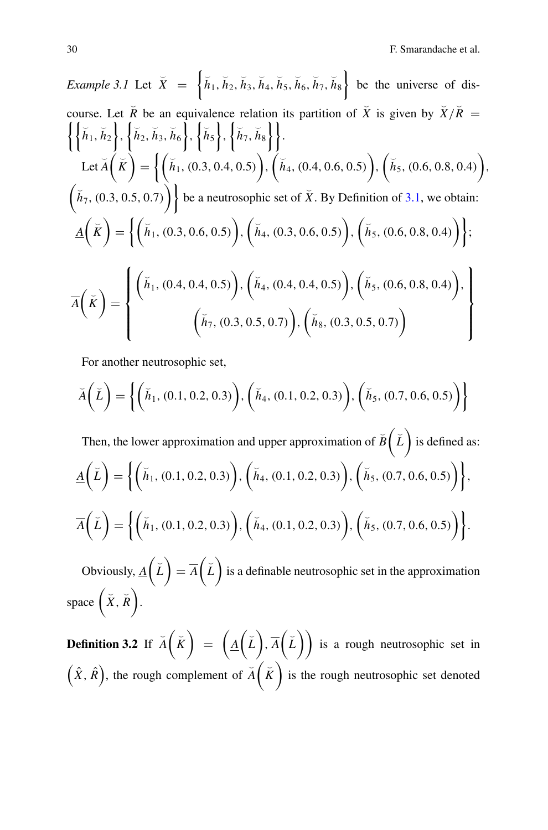Example 3.1 Let 
$$
\bar{X} = \{\bar{h}_1, \bar{h}_2, \bar{h}_3, \bar{h}_4, \bar{h}_5, \bar{h}_6, \bar{h}_7, \bar{h}_8\}
$$
 be the universe of discourse. Let  $\bar{R}$  be an equivalence relation its partition of  $\bar{X}$  is given by  $\bar{X}/\bar{R} = \{\{\bar{h}_1, \bar{h}_2\}, \{\bar{h}_2, \bar{h}_3, \bar{h}_6\}, \{\bar{h}_5\}, \{\bar{h}_6\}, \{\bar{h}_7, \bar{h}_8\}\}$ .

\nLet  $\bar{A}(\bar{K}) = \{\{(\bar{h}_1, (0.3, 0.4, 0.5)), (\bar{h}_4, (0.4, 0.6, 0.5)), (\bar{h}_5, (0.6, 0.8, 0.4)), (\bar{h}_7, (0.3, 0.5, 0.7))\}$  be a neutrosophic set of  $\bar{X}$ . By Definition of 3.1, we obtain:

\n
$$
\underline{A}(\bar{K}) = \{\{(\bar{h}_1, (0.3, 0.6, 0.5)), (\bar{h}_4, (0.3, 0.6, 0.5)), (\bar{h}_5, (0.6, 0.8, 0.4))\}\}
$$
\n
$$
\overline{A}(\bar{K}) = \left\{\left(\bar{h}_1, (0.4, 0.4, 0.5), (\bar{h}_4, (0.4, 0.4, 0.5)), (\bar{h}_5, (0.6, 0.8, 0.4)), \bar{A}(\bar{K}\}\right) = \left\{\left(\bar{h}_1, (0.4, 0.4, 0.5), (\bar{h}_4, (0.4, 0.4, 0.5)), (\bar{h}_8, (0.3, 0.5, 0.7), \bar{A}(\bar{h}_8, (0.3, 0.5, 0.7))\right\}\right\}
$$

For another neutrosophic set,

$$
\breve{A}\left(\breve{L}\right) = \left\{ \left(\breve{h}_1, (0.1, 0.2, 0.3)\right), \left(\breve{h}_4, (0.1, 0.2, 0.3)\right), \left(\breve{h}_5, (0.7, 0.6, 0.5)\right) \right\}
$$

Then, the lower approximation and upper approximation of  $\breve{B}(\breve{L})$  is defined as:  $\underline{A}(\v{L})$  $=\Big\{\Big(\,\breve{h}_1,\,(0.1,\,0.2,\,0.3)\,\Big),\,\Big(\,\breve{h}_4,\,(0.1,\,0.2,\,0.3)\,\Big),\,\Big(\,\breve{h}_5,\,(0.7,\,0.6,\,0.5)\,\Big)\Big\},$  $\overline{A}(\check{L})$  $=\left\{\left(\breve{h}_1,(0.1,0.2,0.3)\right),\left(\breve{h}_4,(0.1,0.2,0.3)\right),\left(\breve{h}_5,(0.7,0.6,0.5)\right)\right\}.$ Obviously,  $\underline{A}(\check{L})$ 

 $= \overline{A}\left(\breve{L}\right)$  is a definable neutrosophic set in the approximation space  $(\check{X}, \check{R})$ .

**Definition 3.2** If  $\overline{A}(\overline{K})$  $= \left(\underline{A}(\tilde{L}), \overline{A}(\tilde{L})\right)$  is a rough neutrosophic set in  $(\hat{X}, \hat{R})$ , the rough complement of  $\breve{A}(\breve{K})$  is the rough neutrosophic set denoted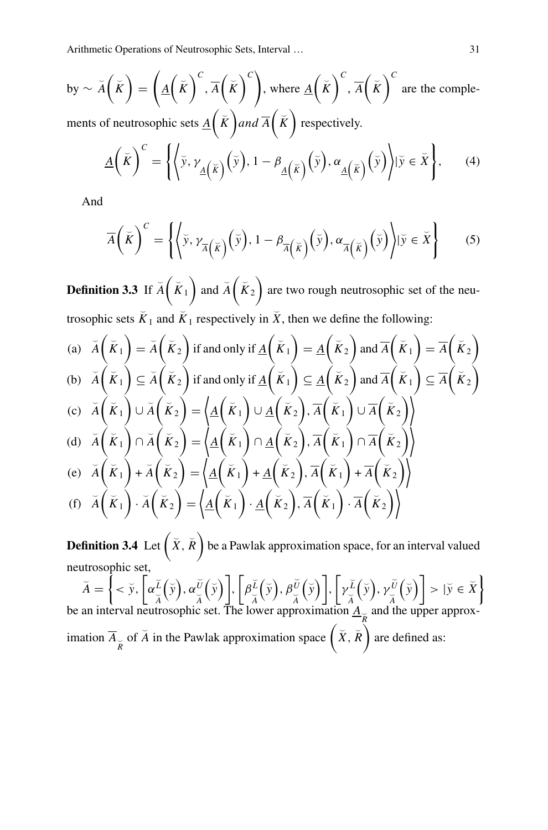by 
$$
\sim \widetilde{A}(\widetilde{K}) = (\underline{A}(\widetilde{K})^C, \overline{A}(\widetilde{K})^C)
$$
, where  $\underline{A}(\widetilde{K})^C, \overline{A}(\widetilde{K})^C$  are the comple-  
ments of neutrosophic sets  $\underline{A}(\widetilde{K})$  and  $\overline{A}(\widetilde{K})$  respectively.

ments of neutrosophic sets  $\underline{A}(\overline{K})$  *and*  $\overline{A}(\overline{K})$  respectively.

$$
\underline{A}\left(\breve{K}\right)^{C} = \left\{ \left\langle \breve{y}, \gamma_{\underline{A}\left(\breve{K}\right)}\left(\breve{y}\right), 1 - \beta_{\underline{A}\left(\breve{K}\right)}\left(\breve{y}\right), \alpha_{\underline{A}\left(\breve{K}\right)}\left(\breve{y}\right) \right| \breve{y} \in \breve{X} \right\},\qquad(4)
$$

And

$$
\overline{A}\left(\breve{K}\right)^{C} = \left\{ \left\langle \breve{y}, \gamma_{\overline{A}\left(\breve{K}\right)}\left(\breve{y}\right), 1 - \beta_{\overline{A}\left(\breve{K}\right)}\left(\breve{y}\right), \alpha_{\overline{A}\left(\breve{K}\right)}\left(\breve{y}\right) \right\rangle | \breve{y} \in \breve{X} \right\} \tag{5}
$$

**Definition 3.3** If  $\breve{A}(\breve{K}_1)$  and  $\breve{A}(\breve{K}_2)$  are two rough neutrosophic set of the neutrosophic sets  $\tilde{K}_1$  and  $\tilde{K}_1$  respectively in  $\tilde{X}$ , then we define the following:

(a) 
$$
\breve{A}(\breve{K}_1) = \breve{A}(\breve{K}_2)
$$
 if and only if  $\underline{A}(\breve{K}_1) = \underline{A}(\breve{K}_2)$  and  $\overline{A}(\breve{K}_1) = \overline{A}(\breve{K}_2)$   
\n(b)  $\breve{A}(\breve{K}_1) \subseteq \breve{A}(\breve{K}_2)$  if and only if  $\underline{A}(\breve{K}_1) \subseteq \underline{A}(\breve{K}_2)$  and  $\overline{A}(\breve{K}_1) \subseteq \overline{A}(\breve{K}_2)$   
\n(c)  $\breve{A}(\breve{K}_1) \cup \breve{A}(\breve{K}_2) = \underline{A}(\breve{K}_1) \cup \underline{A}(\breve{K}_2), \overline{A}(\breve{K}_1) \cup \overline{A}(\breve{K}_2)$   
\n(d)  $\breve{A}(\breve{K}_1) \cap \breve{A}(\breve{K}_2) = \underline{A}(\breve{K}_1) \cap \underline{A}(\breve{K}_2), \overline{A}(\breve{K}_1) \cap \overline{A}(\breve{K}_2)$ 

(e) 
$$
\breve{A}(\breve{K}_1) + \breve{A}(\breve{K}_2) = \langle \underline{A}(\breve{K}_1) + \underline{A}(\breve{K}_2), \overline{A}(\breve{K}_1) + \overline{A}(\breve{K}_2) \rangle
$$
  
\n(f)  $\breve{A}(\breve{K}_1) \cdot \breve{A}(\breve{K}_2) = \langle \underline{A}(\breve{K}_1) \cdot \underline{A}(\breve{K}_2), \overline{A}(\breve{K}_1) \cdot \overline{A}(\breve{K}_2) \rangle$ 

**Definition 3.4** Let  $(X, \overline{R})$  be a Pawlak approximation space, for an interval valued neutrosophic set,

$$
\breve{A} = \left\{ < \breve{y}, \left[ \alpha \frac{\breve{\iota}}{\breve{A}} (\breve{y}), \alpha \frac{\breve{\iota}}{\breve{A}} (\breve{y}) \right], \left[ \beta \frac{\breve{\iota}}{\breve{A}} (\breve{y}), \beta \frac{\breve{\iota}}{\breve{A}} (\breve{y}) \right], \left[ \gamma \frac{\breve{\iota}}{\breve{A}} (\breve{y}), \gamma \frac{\breve{\iota}}{\breve{A}} (\breve{y}) \right] > | \breve{y} \in \breve{X} \right\}
$$
  
be an interval neutrosophic set. The lower approximation  $\underline{A}_{\breve{R}}$  and the upper approx-  
imation  $\overline{A}_{\breve{R}}$  of  $\breve{A}$  in the Pawlak approximation space  $(\breve{X}, \breve{R})$  are defined as: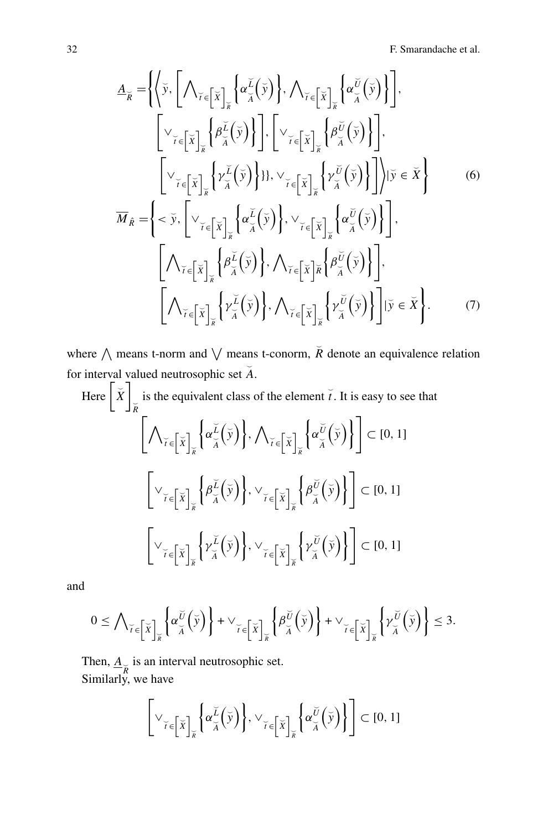$$
\underline{A}_{\overline{R}} = \left\{ \left\langle \overline{y}, \left[ \bigwedge_{\overline{Y} \in \left[ \overline{X} \right]_{\overline{R}}} \left\{ \alpha_{\overline{A}}^{\underline{L}} \left( \overline{y} \right) \right\}, \bigwedge_{\overline{Y} \in \left[ \overline{X} \right]_{\overline{R}}} \left\{ \alpha_{\overline{A}}^{\underline{U}} \left( \overline{y} \right) \right\} \right\}, \right\}
$$
\n
$$
\begin{bmatrix}\n\bigvee_{\overline{Y} \in \left[ \overline{X} \right]_{\overline{R}}} \left\{ \beta_{\overline{A}}^{\underline{L}} \left( \overline{y} \right) \right\} \right], \left[ \bigvee_{\overline{Y} \in \left[ \overline{X} \right]_{\overline{R}}} \left\{ \beta_{\overline{A}}^{\underline{U}} \left( \overline{y} \right) \right\} \right], \left[ \bigvee_{\overline{Y} \in \left[ \overline{X} \right]_{\overline{R}}} \left\{ \beta_{\overline{A}}^{\underline{U}} \left( \overline{y} \right) \right\} \right], \left[ \bigvee_{\overline{Y} \in \left[ \overline{X} \right]_{\overline{R}}} \left\{ \gamma_{\overline{A}}^{\underline{U}} \left( \overline{y} \right) \right\} \right], \left[ \bigvee_{\overline{Y} \in \left[ \overline{X} \right]_{\overline{R}}} \left\{ \gamma_{\overline{A}}^{\underline{U}} \left( \overline{y} \right) \right\} \right], \left[ \bigvee_{\overline{Y} \in \left[ \overline{X} \right]_{\overline{R}}} \left\{ \alpha_{\overline{A}}^{\underline{U}} \left( \overline{y} \right) \right\}, \vee_{\overline{Y} \in \left[ \overline{X} \right]_{\overline{R}}} \left\{ \alpha_{\overline{A}}^{\underline{U}} \left( \overline{y} \right) \right\} \right], \left[ \bigwedge_{\overline{Y} \in \left[ \overline{X} \right]_{\overline{R}}} \left\{ \beta_{\overline{A}}^{\underline{U}} \left( \overline{y} \right) \right\}, \bigw
$$

where  $\bigwedge$  means t-norm and  $\bigvee$  means t-conorm,  $\overline{R}$  denote an equivalence relation for interval valued neutrosophic set  $\breve{A}$ .

Here 
$$
\left[\check{X}\right]_{\check{R}}
$$
 is the equivalent class of the element  $\check{t}$ . It is easy to see that  
\n
$$
\left[\bigwedge_{\check{\tau}\in\left[\check{X}\right]_{\check{R}}}\left\{\alpha_{\check{A}}^{\check{L}}\left(\check{y}\right)\right\},\bigwedge_{\check{\tau}\in\left[\check{X}\right]_{\check{R}}}\left\{\alpha_{\check{A}}^{\check{U}}\left(\check{y}\right)\right\}\right]\subset[0, 1]
$$
\n
$$
\left[\bigvee_{\check{\tau}\in\left[\check{X}\right]_{\check{R}}}\left\{\beta_{\check{A}}^{\check{L}}\left(\check{y}\right)\right\},\bigvee_{\check{\tau}\in\left[\check{X}\right]_{\check{R}}}\left\{\beta_{\check{A}}^{\check{U}}\left(\check{y}\right)\right\}\right]\subset[0, 1]
$$
\n
$$
\left[\bigvee_{\check{\tau}\in\left[\check{X}\right]_{\check{R}}}\left\{\gamma_{\check{A}}^{\check{L}}\left(\check{y}\right)\right\},\bigvee_{\check{\tau}\in\left[\check{X}\right]_{\check{R}}}\left\{\gamma_{\check{A}}^{\check{U}}\left(\check{y}\right)\right\}\right]\subset[0, 1]
$$

and

$$
0 \leq \bigwedge_{\breve{i}\in \left[\breve{X}\right]_{\breve{\kappa}}}\left\{\alpha_{\breve{\breve{A}}}^{\breve{U}}\left(\breve{y}\right)\right\}+\vee_{\breve{i}\in \left[\breve{X}\right]_{\breve{\kappa}}}\left\{\beta_{\breve{\breve{A}}}^{\breve{U}}\left(\breve{y}\right)\right\}+\vee_{\breve{i}\in \left[\breve{X}\right]_{\breve{\kappa}}}\left\{\gamma_{\breve{A}}^{\breve{U}}\left(\breve{y}\right)\right\}\leq 3.
$$

Then,  $\underline{A}_{\overline{R}}$  is an interval neutrosophic set. Similarly, we have

$$
\left[\vee_{\breve{\iota}\in\left[\breve{X}\right]_{\breve{\kappa}}}\left\{\alpha_{\breve{A}}^{\breve{L}}\left(\breve{y}\right)\right\},\vee_{\breve{\iota}\in\left[\breve{X}\right]_{\breve{\kappa}}}\left\{\alpha_{\breve{A}}^{\breve{U}}\left(\breve{y}\right)\right\}\right]\subset[0,1]
$$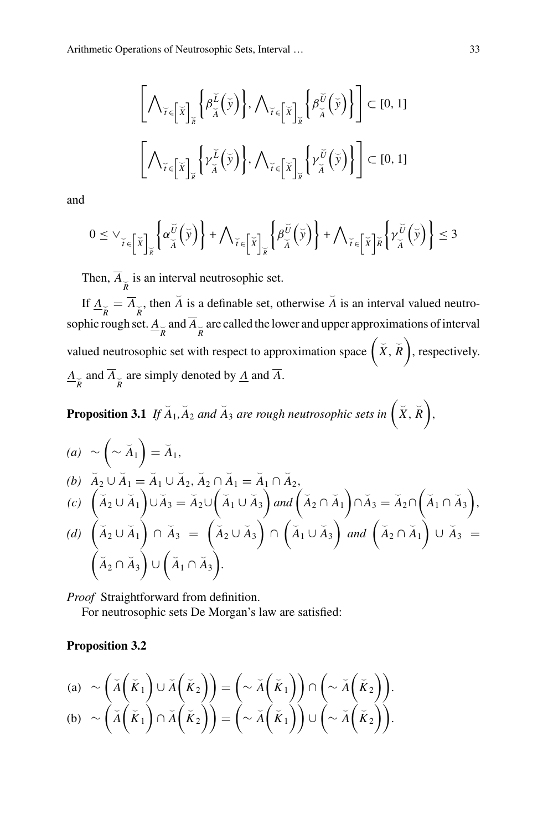$$
\left[\bigwedge_{\breve{\tau}\in\left[\breve{\mathbf{x}}\right]_{\breve{\mathbf{x}}}}\left\{\beta_{\breve{\mathbf{x}}}^{\breve{\mathbf{L}}}\left(\breve{\mathbf{y}}\right)\right\},\bigwedge_{\breve{\tau}\in\left[\breve{\mathbf{x}}\right]_{\breve{\mathbf{x}}}}\left\{\beta_{\breve{\mathbf{x}}}^{\breve{\mathbf{U}}}\left(\breve{\mathbf{y}}\right)\right\}\right]\subset\left[0,1\right]
$$
\n
$$
\left[\bigwedge_{\breve{\tau}\in\left[\breve{\mathbf{x}}\right]_{\breve{\mathbf{x}}}}\left\{\gamma_{\breve{\mathbf{x}}}^{\breve{\mathbf{L}}}\left(\breve{\mathbf{y}}\right)\right\},\bigwedge_{\breve{\tau}\in\left[\breve{\mathbf{x}}\right]_{\breve{\mathbf{x}}}}\left\{\gamma_{\breve{\mathbf{x}}}^{\breve{\mathbf{U}}}\left(\breve{\mathbf{y}}\right)\right\}\right]\subset\left[0,1\right]
$$

and

$$
0 \leq \vee_{\breve{\iota} \in \left[\breve{\chi}\right]_{\breve{\kappa}}} \left\{ \alpha_{\breve{\check{\iota}}}^{\breve{\upsilon}}\left(\breve{\gamma}\right) \right\} + \bigwedge_{\breve{\iota} \in \left[\breve{\chi}\right]_{\breve{\kappa}}} \left\{ \beta_{\breve{\check{\iota}}}^{\breve{\upsilon}}\left(\breve{\gamma}\right) \right\} + \bigwedge_{\breve{\iota} \in \left[\breve{\chi}\right]_{\breve{\kappa}}} \left\{ \gamma_{\breve{\check{\iota}}}^{\breve{\upsilon}}\left(\breve{\gamma}\right) \right\} \leq 3
$$

Then,  $A_{\breve{\breve{R}}}$  is an interval neutrosophic set.

If  $\underline{A}_{\overline{R}} = \overline{A}_{\overline{R}}$ , then  $\overline{A}$  is a definable set, otherwise  $\overline{A}$  is an interval valued neutrosophic rough set.  $\underline{A}_{\breve{R}}$  and  $A_{\breve{R}}$  are called the lower and upper approximations of interval valued neutrosophic set with respect to approximation space  $(X, \overline{R})$ , respectively.  $A_{\overrightarrow{\textbf{R}}}$  and  $A_{\overrightarrow{\textbf{R}}}$  are simply denoted by <u>*A*</u> and *A*.

**Proposition 3.1** If  $\overline{A}_1$ ,  $\overline{A}_2$  and  $\overline{A}_3$  are rough neutrosophic sets in  $(X, \overline{R})$ ,

(a) 
$$
\sim \left(\sim \breve{A}_1\right) = \breve{A}_1,
$$
  
\n(b)  $\breve{A}_2 \cup \breve{A}_1 = \breve{A}_1 \cup \breve{A}_2, \breve{A}_2 \cap \breve{A}_1 = \breve{A}_1 \cap \breve{A}_2,$   
\n(c)  $\left(\breve{A}_2 \cup \breve{A}_1\right) \cup \breve{A}_3 = \breve{A}_2 \cup \left(\breve{A}_1 \cup \breve{A}_3\right) \text{ and } \left(\breve{A}_2 \cap \breve{A}_1\right) \cap \breve{A}_3 = \breve{A}_2 \cap \left(\breve{A}_1 \cap \breve{A}_3\right),$   
\n(d)  $\left(\breve{A}_2 \cup \breve{A}_1\right) \cap \breve{A}_3 = \left(\breve{A}_2 \cup \breve{A}_3\right) \cap \left(\breve{A}_1 \cup \breve{A}_3\right) \text{ and } \left(\breve{A}_2 \cap \breve{A}_1\right) \cup \breve{A}_3 = \left(\breve{A}_2 \cap \breve{A}_3\right) \cup \left(\breve{A}_1 \cap \breve{A}_3\right).$ 

*Proof* Straightforward from definition. For neutrosophic sets De Morgan's law are satisfied:

#### **Proposition 3.2**

(a) 
$$
\sim \left(\check{A}(\check{K}_1) \cup \check{A}(\check{K}_2)\right) = \left(\sim \check{A}(\check{K}_1)\right) \cap \left(\sim \check{A}(\check{K}_2)\right).
$$
  
\n(b)  $\sim \left(\check{A}(\check{K}_1) \cap \check{A}(\check{K}_2)\right) = \left(\sim \check{A}(\check{K}_1)\right) \cup \left(\sim \check{A}(\check{K}_2)\right).$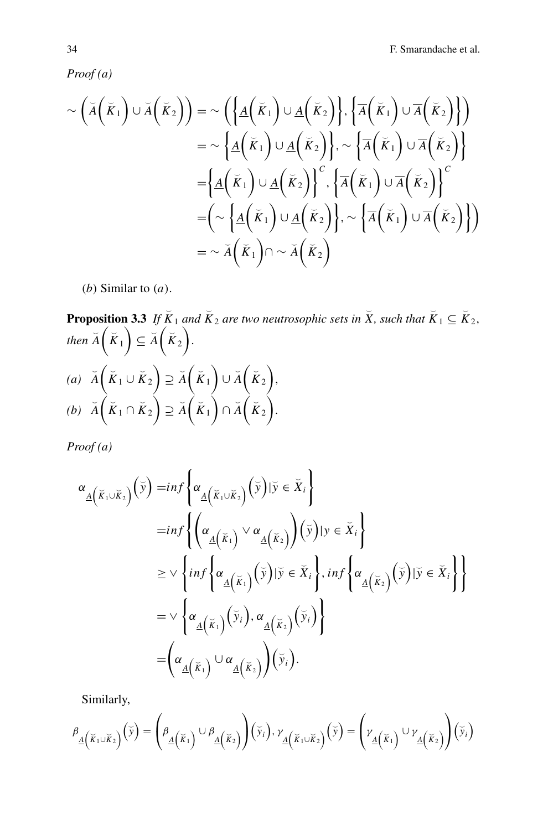*Proof (a)*

$$
\sim (\breve{A}(\breve{K}_{1}) \cup \breve{A}(\breve{K}_{2})) = \sim (\left\{ \underline{A}(\breve{K}_{1}) \cup \underline{A}(\breve{K}_{2}) \right\}, \left\{ \overline{A}(\breve{K}_{1}) \cup \overline{A}(\breve{K}_{2}) \right\})
$$
  
\n
$$
= \sim \left\{ \underline{A}(\breve{K}_{1}) \cup \underline{A}(\breve{K}_{2}) \right\}, \sim \left\{ \overline{A}(\breve{K}_{1}) \cup \overline{A}(\breve{K}_{2}) \right\}
$$
  
\n
$$
= \left\{ \underline{A}(\breve{K}_{1}) \cup \underline{A}(\breve{K}_{2}) \right\}^{c}, \left\{ \overline{A}(\breve{K}_{1}) \cup \overline{A}(\breve{K}_{2}) \right\}^{c}
$$
  
\n
$$
= (\sim \left\{ \underline{A}(\breve{K}_{1}) \cup \underline{A}(\breve{K}_{2}) \right\}, \sim \left\{ \overline{A}(\breve{K}_{1}) \cup \overline{A}(\breve{K}_{2}) \right\})
$$
  
\n
$$
= \sim \breve{A}(\breve{K}_{1}) \cap \sim \breve{A}(\breve{K}_{2})
$$

(*b*) Similar to (*a*).

**Proposition 3.3** If 
$$
\tilde{K}_1
$$
 and  $\tilde{K}_2$  are two neutrosophic sets in  $\tilde{X}$ , such that  $\tilde{K}_1 \subseteq \tilde{K}_2$ ,  
then  $\tilde{A}(\tilde{K}_1) \subseteq \tilde{A}(\tilde{K}_2)$ .  
(a)  $\tilde{A}(\tilde{K}_1 \cup \tilde{K}_2) \supseteq \tilde{A}(\tilde{K}_1) \cup \tilde{A}(\tilde{K}_2)$ ,  
(b)  $\tilde{A}(\tilde{K}_1 \cap \tilde{K}_2) \supseteq \tilde{A}(\tilde{K}_1) \cap \tilde{A}(\tilde{K}_2)$ .

*Proof (a)*

$$
\alpha_{\underline{A}}(\overline{\kappa}_{1}\cup\overline{\kappa}_{2})\left(\overline{y}\right) = inf \left\{\alpha_{\underline{A}}(\overline{\kappa}_{1}\cup\overline{\kappa}_{2})\left(\overline{y}\right) | \overline{y} \in \overline{X}_{i}\right\}
$$
\n
$$
= inf \left\{\left(\alpha_{\underline{A}}(\overline{\kappa}_{1}) \vee \alpha_{\underline{A}}(\overline{\kappa}_{2})\right) \left(\overline{y}\right) | y \in \overline{X}_{i}\right\}
$$
\n
$$
\geq \vee \left\{ inf \left\{\alpha_{\underline{A}}(\overline{\kappa}_{1})\left(\overline{y}\right) | \overline{y} \in \overline{X}_{i}\right\}, inf \left\{\alpha_{\underline{A}}(\overline{\kappa}_{2})\left(\overline{y}\right) | \overline{y} \in \overline{X}_{i}\right\}\right\}
$$
\n
$$
= \vee \left\{\alpha_{\underline{A}}(\overline{\kappa}_{1})\left(\overline{y}_{i}\right), \alpha_{\underline{A}}(\overline{\kappa}_{2})\left(\overline{y}_{i}\right)\right\}
$$
\n
$$
= \left(\alpha_{\underline{A}}(\overline{\kappa}_{1}) \cup \alpha_{\underline{A}}(\overline{\kappa}_{2})\right)\left(\overline{y}_{i}\right).
$$

Similarly,

$$
\beta_{\underline{A}}(\breve{\kappa}_{1} \cup \breve{\kappa}_{2}) (\breve{y}) = \left( \beta_{\underline{A}}(\breve{\kappa}_{1}) \cup \beta_{\underline{A}}(\breve{\kappa}_{2}) \right) (\breve{y}_{i}), \gamma_{\underline{A}}(\breve{\kappa}_{1} \cup \breve{\kappa}_{2}) (\breve{y}) = \left( \gamma_{\underline{A}}(\breve{\kappa}_{1}) \cup \gamma_{\underline{A}}(\breve{\kappa}_{2}) \right) (\breve{y}_{i})
$$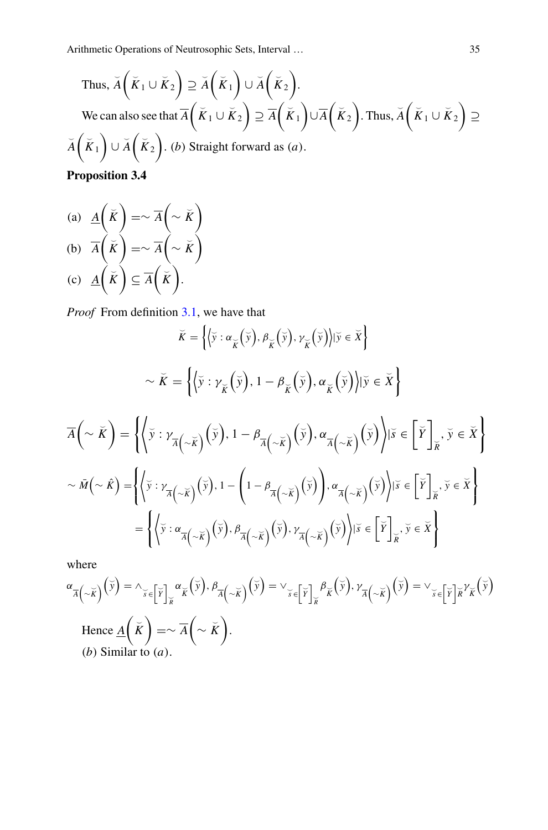Thus, 
$$
\widetilde{A}(\widetilde{K}_1 \cup \widetilde{K}_2) \supseteq \widetilde{A}(\widetilde{K}_1) \cup \widetilde{A}(\widetilde{K}_2)
$$
.  
\nWe can also see that  $\overline{A}(\widetilde{K}_1 \cup \widetilde{K}_2) \supseteq \overline{A}(\widetilde{K}_1) \cup \overline{A}(\widetilde{K}_2)$ . Thus,  $\widetilde{A}(\widetilde{K}_1 \cup \widetilde{K}_2) \supseteq \widetilde{A}(\widetilde{K}_1) \cup \widetilde{A}(\widetilde{K}_2)$ . (b) Straight forward as (a).

**Proposition 3.4**

(a)  $\underline{A}(\overrightarrow{K})$  $=\sim \overline{A}\left(\sim \breve{K}\right)$ (b)  $\overline{A}(\check{K})$  $=\sim \overline{A}\left(\sim \breve{K}\right)$ (c)  $\underline{A}(\overline{K}) \subseteq \overline{A}(\overline{K}).$ 

*Proof* From definition [3.1,](#page-3-1) we have that

$$
\breve{K} = \left\{ \langle \breve{y} : \alpha_{\breve{K}}(\breve{y}), \beta_{\breve{K}}(\breve{y}), \gamma_{\breve{K}}(\breve{y}) \rangle | \breve{y} \in \breve{X} \right\}
$$
\n
$$
\sim \breve{K} = \left\{ \langle \breve{y} : \gamma_{\breve{K}}(\breve{y}), 1 - \beta_{\breve{K}}(\breve{y}), \alpha_{\breve{K}}(\breve{y}) \rangle | \breve{y} \in \breve{X} \right\}
$$
\n
$$
\overline{A}(\sim \breve{K}) = \left\{ \langle \breve{y} : \gamma_{\overline{A}(\sim \breve{K})}(\breve{y}), 1 - \beta_{\overline{A}(\sim \breve{K})}(\breve{y}), \alpha_{\overline{A}(\sim \breve{K})}(\breve{y}) \rangle | \breve{y} \in \breve{X} \right\}
$$
\n
$$
\sim \bar{M}(\sim \hat{K}) = \left\{ \langle \breve{y} : \gamma_{\overline{A}(\sim \breve{K})}(\breve{y}), 1 - \left( 1 - \beta_{\overline{A}(\sim \breve{K})}(\breve{y}) \right), \alpha_{\overline{A}(\sim \breve{K})}(\breve{y}) \rangle | \breve{y} \in \breve{X} \right\}
$$
\n
$$
= \left\{ \langle \breve{y} : \alpha_{\overline{A}(\sim \breve{K})}(\breve{y}), \beta_{\overline{A}(\sim \breve{K})}(\breve{y}), \gamma_{\overline{A}(\sim \breve{K})}(\breve{y}) \rangle | \breve{y} \in \breve{X} \right\}
$$

where

$$
\alpha_{\overline{A}\left(\sim\widetilde{K}\right)}\left(\widetilde{y}\right) = \wedge_{\widetilde{y}\in\left[\widetilde{Y}\right]_{\widetilde{K}}}\alpha_{\widetilde{K}}\left(\widetilde{y}\right), \beta_{\overline{A}\left(\sim\widetilde{K}\right)}\left(\widetilde{y}\right) = \vee_{\widetilde{y}\in\left[\widetilde{Y}\right]_{\widetilde{K}}}\beta_{\widetilde{K}}\left(\widetilde{y}\right), \gamma_{\overline{A}\left(\sim\widetilde{K}\right)}\left(\widetilde{y}\right) = \vee_{\widetilde{y}\in\left[\widetilde{Y}\right]_{\widetilde{K}}}\gamma_{\widetilde{K}}\left(\widetilde{y}\right)
$$
\nHence  $\underline{A}\left(\widetilde{K}\right) = \sim \overline{A}\left(\sim\widetilde{K}\right).$ \n  
\n(b) Similar to (a).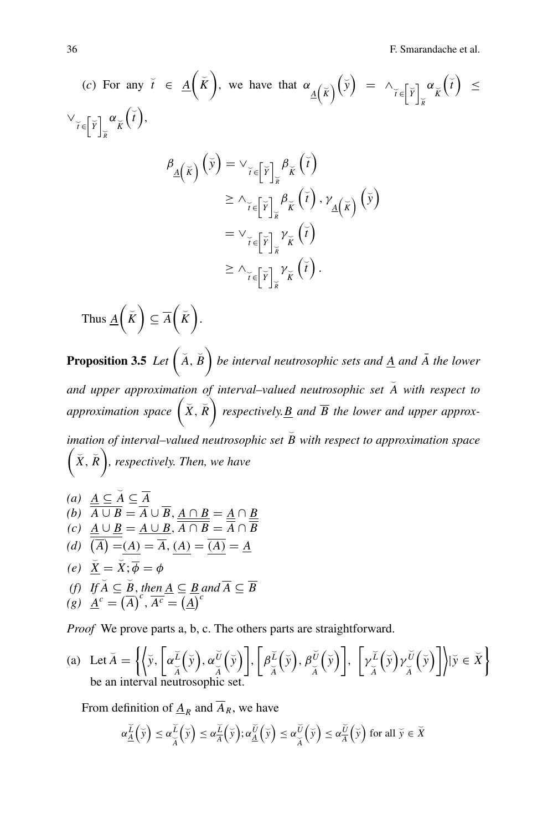36 F. Smarandache et al.

(c) For any 
$$
\check{t} \in \underline{A}(\check{K})
$$
, we have that  $\alpha_{\underline{A}(\check{K})}(\check{y}) = \wedge_{\check{t} \in [\check{Y}]_{\check{K}}^{\times}} \alpha_{\check{K}}(\check{t}) \le$   

$$
\vee_{\check{t} \in [\check{Y}]_{\check{K}}^{\times}} \alpha_{\check{K}}(\check{t}),
$$

$$
\beta_{\underline{A}(\check{K})}(\check{y}) = \vee_{\check{t} \in [\check{Y}]_{\check{K}}^{\times}} \beta_{\check{K}}(\check{t})
$$

$$
\geq \wedge_{\check{t} \in [\check{Y}]_{\check{K}}^{\times}} \beta_{\check{K}}(\check{t}), \gamma_{\underline{A}(\check{K})}(\check{y})
$$

$$
i \in \left[\frac{Y}{K}\right]_{\widetilde{K}} \widetilde{K} \left(\widetilde{V}\right) \cdot \underline{A}\left(\widetilde{K}\right)
$$
\n
$$
= \vee_{\widetilde{I} \in \left[\widetilde{Y}\right]_{\widetilde{K}} \widetilde{K}} \widetilde{K} \left(\widetilde{I}\right)
$$
\n
$$
\geq \wedge_{\widetilde{I} \in \left[\widetilde{Y}\right]_{\widetilde{K}} \widetilde{K}} \widetilde{K} \left(\widetilde{I}\right).
$$

Thus  $\underline{A}(\overline{K}) \subseteq \overline{A}(\overline{K}).$ 

**Proposition 3.5** Let  $(A, \overline{B})$  be interval neutrosophic sets and  $\underline{A}$  and  $\overline{A}$  the lower and upper approximation of interval–valued neutrosophic set  $\breve{A}$  with respect to approximation space  $(X, \overline{R})$  respectively. <u>B</u> and  $\overline{B}$  the lower and upper approx*imation of interval–valued neutrosophic set*  $\overline{B}$  with respect to approximation space  $(\check{X}, \check{R})$ , respectively. Then, we have

*(a)*  $\underline{A} \subseteq \overline{A} \subseteq \overline{A}$  $(A \cup B = A \cup B, \underline{A \cap B} = \underline{A} \cap \underline{B}$  $(C)$   $\underline{A} \cup \underline{B} = A \cup B$ ,  $A \cap B = A \cap B$ (*d*)  $(A) = (A) = A$ ,  $(A) = (A) = A$  $(e) \quad \underline{\breve{X}} = \breve{X}; \overline{\phi} = \phi$ (f) If  $\overline{A} \subseteq \overline{B}$ , then  $\underline{A} \subseteq \overline{B}$  and  $\overline{A} \subseteq \overline{B}$  $\overline{A}^c = \overline{A}^c$ ,  $\overline{A^c} = \overline{A}^c$ 

*Proof* We prove parts a, b, c. The others parts are straightforward.

(a) Let 
$$
\check{A} = \left\{ \left\langle \check{y}, \left[ \alpha \check{\check{\mu}}_{\check{A}}(\check{y}), \alpha \check{\check{\mu}}_{\check{A}}(\check{y}) \right], \left[ \beta \check{\check{\mu}}_{\check{A}}(\check{y}), \beta \check{\check{\mu}}_{\check{A}}(\check{y}) \right], \left[ \gamma \check{\check{\mu}}_{\check{A}}(\check{y}) \gamma \check{\check{\mu}}_{\check{A}}(\check{y}) \right] \right\} | \check{y} \in \check{X} \right\}
$$
  
be an interval neutrosophic set.

From definition of  $\underline{A}_R$  and  $\overline{A}_R$ , we have

$$
\alpha_{\underline{A}}^{\underline{\widetilde{L}}}(\overline{y}) \leq \alpha_{\overline{A}}^{\underline{\widetilde{L}}}(\overline{y}) \leq \alpha_{\overline{A}}^{\underline{\widetilde{L}}}(\overline{y}); \alpha_{\underline{A}}^{\underline{\widetilde{U}}}(\overline{y}) \leq \alpha_{\overline{A}}^{\underline{\widetilde{U}}}(\overline{y}) \leq \alpha_{\overline{A}}^{\underline{\widetilde{U}}}(\overline{y}) \text{ for all } \overline{y} \in \overline{X}
$$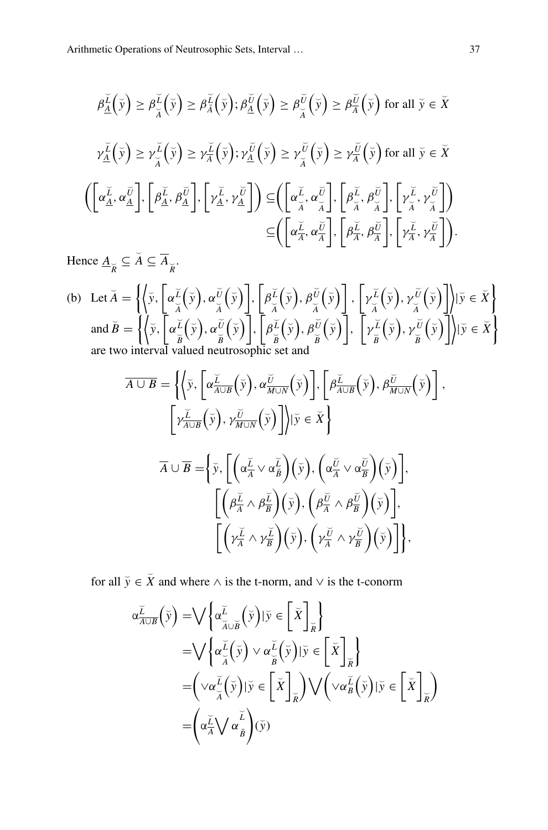$$
\beta_{\underline{A}}^{\underline{\tilde{L}}}(\bar{y}) \geq \beta_{\overline{A}}^{\underline{\tilde{L}}}(\bar{y}) \geq \beta_{\overline{A}}^{\underline{\tilde{L}}}(\bar{y}); \beta_{\underline{A}}^{\underline{\tilde{U}}}(\bar{y}) \geq \beta_{\overline{A}}^{\underline{\tilde{U}}}(\bar{y}) \geq \beta_{\overline{A}}^{\underline{\tilde{U}}}(\bar{y}) \text{ for all } \bar{y} \in \bar{X}
$$
\n
$$
\gamma_{\underline{A}}^{\underline{\tilde{L}}}(\bar{y}) \geq \gamma_{\overline{A}}^{\underline{\tilde{L}}}(\bar{y}) \geq \gamma_{\overline{A}}^{\underline{\tilde{L}}}(\bar{y}); \gamma_{\underline{A}}^{\underline{\tilde{U}}}(\bar{y}) \geq \gamma_{\overline{A}}^{\underline{\tilde{U}}}(\bar{y}) \geq \gamma_{\overline{A}}^{\underline{\tilde{U}}}(\bar{y}) \text{ for all } \bar{y} \in \bar{X}
$$
\n
$$
\left( \left[ \alpha_{\underline{A}}^{\underline{\tilde{L}}}, \alpha_{\underline{A}}^{\underline{\tilde{U}}} \right], \left[ \beta_{\underline{A}}^{\underline{\tilde{L}}}, \beta_{\underline{A}}^{\underline{\tilde{U}}} \right], \left[ \gamma_{\underline{A}}^{\underline{\tilde{L}}}, \gamma_{\underline{A}}^{\underline{\tilde{U}}} \right] \right) \subseteq \left( \left[ \alpha_{\overline{A}}^{\underline{\tilde{L}}}, \alpha_{\overline{A}}^{\underline{\tilde{U}}} \right], \left[ \beta_{\overline{A}}^{\underline{\tilde{L}}}, \beta_{\overline{A}}^{\underline{\tilde{U}}} \right], \left[ \gamma_{\overline{A}}^{\underline{\tilde{L}}}, \gamma_{\overline{A}}^{\underline{\tilde{U}}} \right] \right)
$$
\n
$$
\subseteq \left( \left[ \alpha_{\overline{A}}^{\underline{\tilde{L}}}, \alpha_{\overline{A}}^{\underline{\tilde{U}}} \right], \left[ \beta_{\overline{A}}^{\underline{\tilde{L}}}, \beta_{\overline{A}}^{\underline{\tilde{U}}} \right], \left[ \gamma_{\overline{A}}^{\underline{\tilde{L}}}, \gamma_{\overline{A}}^{\underline{\tilde{U}}} \right] \right).
$$

Hence  $\underline{A}_{\widetilde{R}} \subseteq \widetilde{A} \subseteq \overline{A}_{\widetilde{R}}$ .

(b) Let 
$$
\check{A} = \left\{ \left\langle \check{y}, \left[ \alpha \check{\check{z}}_{\check{A}}(\check{y}), \alpha \check{\check{y}}_{\check{A}}(\check{y}) \right], \left[ \beta \check{\check{z}}_{\check{A}}(\check{y}), \beta \check{\check{y}}_{\check{A}}(\check{y}) \right], \left[ \gamma \check{\check{z}}_{\check{A}}(\check{y}), \gamma \check{\check{y}}_{\check{A}}(\check{y}) \right] \right\} | \check{y} \in \check{X} \right\}
$$
  
and  $\check{B} = \left\{ \left\langle \check{y}, \left[ \alpha \check{\check{z}}_{\check{B}}(\check{y}), \alpha \check{\check{y}}_{\check{B}}(\check{y}) \right], \left[ \beta \check{\check{z}}_{\check{B}}(\check{y}), \beta \check{\check{y}}_{\check{B}}(\check{y}) \right], \left[ \gamma \check{\check{z}}_{\check{B}}(\check{y}), \gamma \check{\check{y}}_{\check{B}}(\check{y}) \right] \right\} | \check{y} \in \check{X} \right\}$   
are two interval valued neutrosophic set and

$$
\overline{A \cup B} = \left\{ \left\langle \overline{y}, \left[ \alpha \frac{\overline{L}}{A \cup B} \left( \overline{y} \right), \alpha \frac{\overline{U}}{M \cup N} \left( \overline{y} \right) \right], \left[ \beta \frac{\overline{L}}{A \cup B} \left( \overline{y} \right), \beta \frac{\overline{U}}{M \cup N} \left( \overline{y} \right) \right] \right\}
$$

$$
\left[ \gamma \frac{\overline{L}}{A \cup B} \left( \overline{y} \right), \gamma \frac{\overline{U}}{M \cup N} \left( \overline{y} \right) \right] \middle\} | \overline{y} \in \overline{X} \right\}
$$

$$
\overline{A} \cup \overline{B} = \left\{ \overline{y}, \left[ \left( \alpha \frac{\overline{L}}{A} \vee \alpha \frac{\overline{L}}{B} \right) \left( \overline{y} \right), \left( \alpha \frac{\overline{U}}{A} \vee \alpha \frac{\overline{U}}{B} \right) \left( \overline{y} \right) \right], \left[ \left( \beta \frac{\overline{L}}{A} \wedge \beta \frac{\overline{L}}{B} \right) \left( \overline{y} \right), \left( \beta \frac{\overline{U}}{A} \wedge \beta \frac{\overline{U}}{B} \right) \left( \overline{y} \right) \right], \left[ \left( \gamma \frac{\overline{L}}{A} \wedge \gamma \frac{\overline{L}}{B} \right) \left( \overline{y} \right), \left( \gamma \frac{\overline{U}}{A} \wedge \gamma \frac{\overline{U}}{B} \right) \left( \overline{y} \right) \right], \left[ \left( \gamma \frac{\overline{L}}{A} \wedge \gamma \frac{\overline{L}}{B} \right) \left( \overline{y} \right), \left( \gamma \frac{\overline{U}}{A} \wedge \gamma \frac{\overline{U}}{B} \right) \left( \overline{y} \right) \right],
$$

for all  $\tilde{y} \in \tilde{X}$  and where  $\wedge$  is the t-norm, and  $\vee$  is the t-conorm

$$
\alpha \frac{\widetilde{L}}{A \cup B}(\widetilde{y}) = \bigvee \left\{ \alpha \frac{\widetilde{L}}{\widetilde{A} \cup \widetilde{B}}(\widetilde{y}) | \widetilde{y} \in \left[\widetilde{X}\right]_{\widetilde{R}} \right\} \n= \bigvee \left\{ \alpha \frac{\widetilde{L}}{\widetilde{A}}(\widetilde{y}) \vee \alpha \frac{\widetilde{L}}{\widetilde{B}}(\widetilde{y}) | \widetilde{y} \in \left[\widetilde{X}\right]_{\widetilde{R}} \right\} \n= \left( \vee \alpha \frac{\widetilde{L}}{\widetilde{A}}(\widetilde{y}) | \widetilde{y} \in \left[\widetilde{X}\right]_{\widetilde{R}} \right) \bigvee \left( \vee \alpha \frac{\widetilde{L}}{\widetilde{B}}(\widetilde{y}) | \widetilde{y} \in \left[\widetilde{X}\right]_{\widetilde{R}} \right) \n= \left( \alpha \frac{\widetilde{L}}{\widetilde{A}} \bigvee \alpha \frac{\widetilde{L}}{\widetilde{B}} \right) (\widetilde{y})
$$

,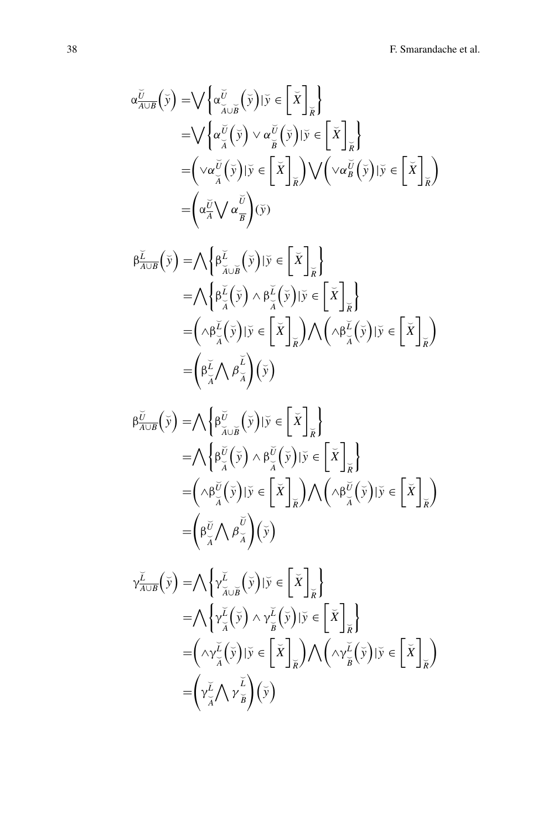$$
\alpha \frac{\widetilde{U}}{A \cup B}(\widetilde{y}) = \bigvee \left\{ \alpha \frac{\widetilde{U}}{\widetilde{A} \cup \widetilde{B}}(\widetilde{y}) | \widetilde{y} \in \left[\widetilde{X}\right]_{\widetilde{R}} \right\} \n= \bigvee \left\{ \alpha \frac{\widetilde{U}}{\widetilde{A}}(\widetilde{y}) \vee \alpha \frac{\widetilde{U}}{\widetilde{B}}(\widetilde{y}) | \widetilde{y} \in \left[\widetilde{X}\right]_{\widetilde{R}} \right\} \n= \left( \vee \alpha \frac{\widetilde{U}}{\widetilde{A}}(\widetilde{y}) | \widetilde{y} \in \left[\widetilde{X}\right]_{\widetilde{R}} \right) \bigvee \left( \vee \alpha \frac{\widetilde{U}}{\widetilde{B}}(\widetilde{y}) | \widetilde{y} \in \left[\widetilde{X}\right]_{\widetilde{R}} \right) \n= \left( \alpha \frac{\widetilde{U}}{\widetilde{A}} \bigvee \alpha \frac{\widetilde{U}}{\widetilde{B}} \right) (\widetilde{y})
$$

$$
\beta \frac{\tilde{\mu}}{A \cup B} (\tilde{y}) = \bigwedge \left\{ \beta \frac{\tilde{\mu}}{\tilde{\lambda} \cup \tilde{B}} (\tilde{y}) | \tilde{y} \in \left[ \tilde{X} \right]_{\tilde{R}} \right\}
$$
\n
$$
= \bigwedge \left\{ \beta \frac{\tilde{\mu}}{\tilde{\lambda}} (\tilde{y}) \wedge \beta \frac{\tilde{\mu}}{\tilde{\lambda}} (\tilde{y}) | \tilde{y} \in \left[ \tilde{X} \right]_{\tilde{R}} \right\}
$$
\n
$$
= \left( \wedge \beta \frac{\tilde{\mu}}{\tilde{\lambda}} (\tilde{y}) | \tilde{y} \in \left[ \tilde{X} \right]_{\tilde{R}} \right) \bigwedge \left( \wedge \beta \frac{\tilde{\mu}}{\tilde{\lambda}} (\tilde{y}) | \tilde{y} \in \left[ \tilde{X} \right]_{\tilde{R}} \right)
$$
\n
$$
= \left( \beta \frac{\tilde{\mu}}{\tilde{\lambda}} \bigwedge \beta \frac{\tilde{\mu}}{\tilde{\lambda}} \right) (\tilde{y})
$$

$$
\beta \frac{\partial}{\partial \beta} (\bar{y}) = \bigwedge \left\{ \beta \frac{\partial}{\partial \mu} (\bar{y}) \mid \bar{y} \in \left[ \bar{X} \right]_{\bar{K}} \right\} \n= \bigwedge \left\{ \beta \frac{\partial}{\partial \mu} (\bar{y}) \wedge \beta \frac{\partial}{\partial \mu} (\bar{y}) \mid \bar{y} \in \left[ \bar{X} \right]_{\bar{K}} \right\} \n= \left( \wedge \beta \frac{\partial}{\partial \mu} (\bar{y}) \mid \bar{y} \in \left[ \bar{X} \right]_{\bar{K}} \right) \wedge \left( \wedge \beta \frac{\partial}{\partial \mu} (\bar{y}) \mid \bar{y} \in \left[ \bar{X} \right]_{\bar{K}} \right) \n= \left( \beta \frac{\partial}{\partial \mu} (\gamma \wedge \beta \frac{\partial}{\partial \lambda}) (\bar{y}) \right)
$$

$$
\gamma_{\overline{A\cup B}}^{\underline{\check{L}}}(\bar{y}) = \bigwedge \left\{ \gamma_{\overline{A}\cup \overline{B}}^{\underline{\check{L}}}(\bar{y}) | \bar{y} \in \left[ \bar{X} \right]_{\overline{R}} \right\} \n= \bigwedge \left\{ \gamma_{\overline{A}}^{\underline{\check{L}}}(\bar{y}) \wedge \gamma_{\overline{B}}^{\underline{\check{L}}}(\bar{y}) | \bar{y} \in \left[ \bar{X} \right]_{\overline{R}} \right\} \n= \left( \wedge \gamma_{\overline{A}}^{\underline{\check{L}}}(\bar{y}) | \bar{y} \in \left[ \bar{X} \right]_{\overline{R}} \right) \bigwedge \left( \wedge \gamma_{\overline{B}}^{\underline{\check{L}}}(\bar{y}) | \bar{y} \in \left[ \bar{X} \right]_{\overline{R}} \right) \n= \left( \gamma_{\overline{A}}^{\underline{\check{L}}} \bigwedge \gamma_{\overline{B}}^{\underline{\check{L}}} \right) (\bar{y})
$$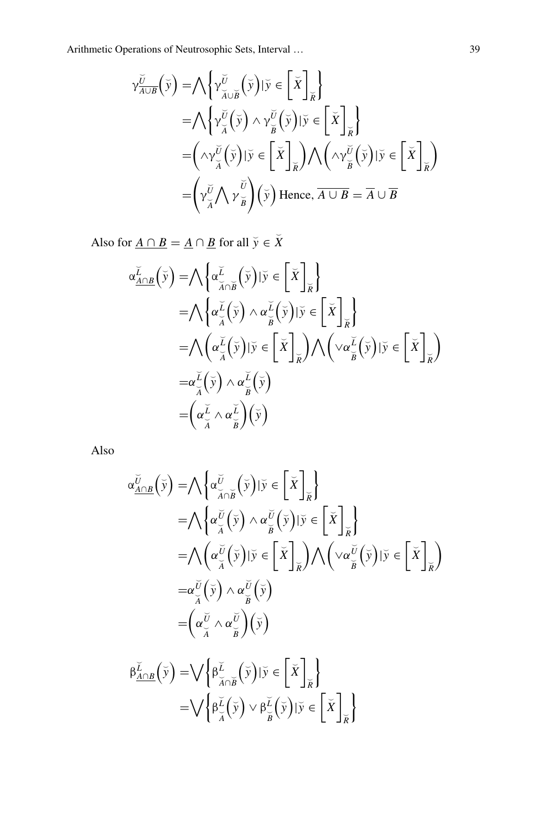$$
\gamma_{\overline{A\cup B}}^{\overline{U}}(\overline{y}) = \bigwedge \left\{ \gamma_{\overline{A}\cup\overline{B}}^{\overline{U}}(\overline{y}) | \overline{y} \in \left[ \overline{X} \right]_{\overline{R}} \right\} \n= \bigwedge \left\{ \gamma_{\overline{A}}^{\overline{U}}(\overline{y}) \wedge \gamma_{\overline{B}}^{\overline{U}}(\overline{y}) | \overline{y} \in \left[ \overline{X} \right]_{\overline{R}} \right\} \n= \left( \wedge \gamma_{\overline{A}}^{\overline{U}}(\overline{y}) | \overline{y} \in \left[ \overline{X} \right]_{\overline{R}} \right) \bigwedge \left( \wedge \gamma_{\overline{B}}^{\overline{U}}(\overline{y}) | \overline{y} \in \left[ \overline{X} \right]_{\overline{R}} \right) \n= \left( \gamma_{\overline{A}}^{\overline{U}} \bigwedge \gamma_{\overline{B}}^{\overline{U}} \right) (\overline{y}) \text{ Hence, } \overline{A \cup B} = \overline{A} \cup \overline{B}
$$

Also for <u> $A \cap B = \underline{A} \cap \underline{B}$ </u> for all  $\breve{y} \in \breve{X}$ 

$$
\alpha_{\underline{A}\cap\underline{B}}^{\underline{L}}(\overline{y}) = \bigwedge \left\{ \alpha_{\overline{A}\cap\overline{B}}^{\underline{L}}(\overline{y}) | \overline{y} \in \left[ \overline{X} \right]_{\overline{R}} \right\} \n= \bigwedge \left\{ \alpha_{\overline{A}}^{\underline{L}}(\overline{y}) \wedge \alpha_{\overline{B}}^{\underline{L}}(\overline{y}) | \overline{y} \in \left[ \overline{X} \right]_{\overline{R}} \right\} \n= \bigwedge \left( \alpha_{\overline{A}}^{\underline{L}}(\overline{y}) | \overline{y} \in \left[ \overline{X} \right]_{\overline{R}} \right) \bigwedge \left( \vee \alpha_{\overline{B}}^{\underline{L}}(\overline{y}) | \overline{y} \in \left[ \overline{X} \right]_{\overline{R}} \right) \n= \alpha_{\overline{A}}^{\underline{L}}(\overline{y}) \wedge \alpha_{\overline{B}}^{\underline{L}}(\overline{y}) \n= \left( \alpha_{\overline{A}}^{\underline{L}} \wedge \alpha_{\overline{B}}^{\underline{L}} \right) (\overline{y})
$$

Also

$$
\alpha_{\underline{A}\cap\underline{B}}^{\check{U}}(\check{y}) = \bigwedge \left\{\alpha_{\overline{A}\cap\overline{B}}^{\check{U}}(\check{y}) | \check{y} \in \left[\check{X}\right]_{\check{R}}\right\}
$$
\n
$$
= \bigwedge \left\{\alpha_{\overline{A}}^{\check{U}}(\check{y}) \wedge \alpha_{\overline{B}}^{\check{U}}(\check{y}) | \check{y} \in \left[\check{X}\right]_{\check{R}}\right\}
$$
\n
$$
= \bigwedge \left(\alpha_{\overline{A}}^{\check{U}}(\check{y}) | \check{y} \in \left[\check{X}\right]_{\check{R}}\right) \bigwedge \left(\vee \alpha_{\overline{B}}^{\check{U}}(\check{y}) | \check{y} \in \left[\check{X}\right]_{\check{R}}\right)
$$
\n
$$
= \alpha_{\overline{A}}^{\check{U}}(\check{y}) \wedge \alpha_{\overline{B}}^{\check{U}}(\check{y})
$$
\n
$$
= \left(\alpha_{\overline{A}}^{\check{U}} \wedge \alpha_{\overline{B}}^{\check{U}}\right)(\check{y})
$$
\n
$$
\beta_{\underline{A}\cap\underline{B}}^{\check{L}}(\check{y}) = \bigvee \left\{\beta_{\overline{A}\cap\check{B}}^{\check{L}}(\check{y}) | \check{y} \in \left[\check{X}\right]_{\check{R}}\right\}
$$
\n
$$
= \bigvee \left\{\beta_{\overline{A}}^{\check{L}}(\check{y}) \vee \beta_{\overline{B}}^{\check{L}}(\check{y}) | \check{y} \in \left[\check{X}\right]_{\check{R}}\right\}
$$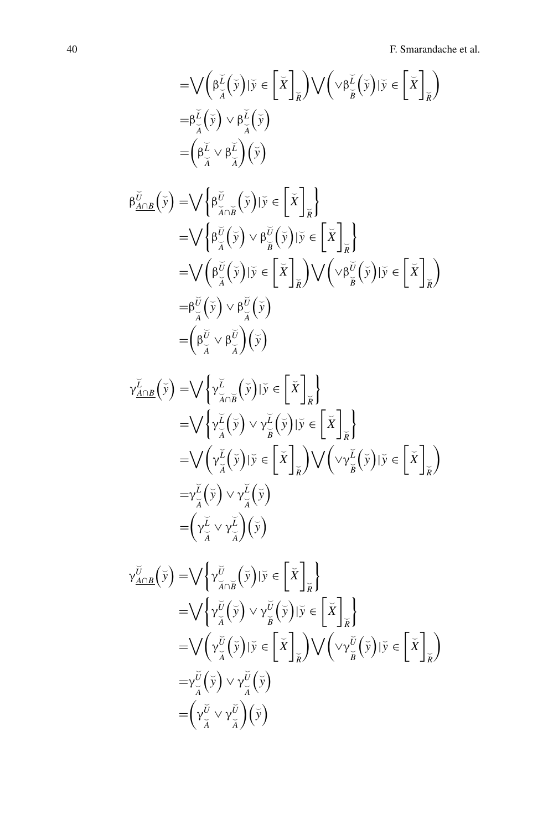$$
\begin{split}\n&= \bigvee \left( \beta_{\widetilde{A}}^{\widetilde{L}}(\widetilde{y}) | \widetilde{y} \in \left[ \widetilde{X} \right]_{\widetilde{R}} \right) \bigvee \left( \vee \beta_{\widetilde{B}}^{\widetilde{L}}(\widetilde{y}) | \widetilde{y} \in \left[ \widetilde{X} \right]_{\widetilde{R}} \right) \\
&= \beta_{\widetilde{A}}^{\widetilde{L}}(\widetilde{y}) \vee \beta_{\widetilde{A}}^{\widetilde{L}}(\widetilde{y}) \\
&= \left( \beta_{\widetilde{A}}^{\widetilde{L}} \vee \beta_{\widetilde{A}}^{\widetilde{L}} \right) (\widetilde{y}) \\
\beta_{\underline{A} \cap B}^{\widetilde{U}}(\widetilde{y}) = \bigvee \left\{ \beta_{\widetilde{A} \cap \widetilde{B}}^{\widetilde{U}}(\widetilde{y}) | \widetilde{y} \in \left[ \widetilde{X} \right]_{\widetilde{R}} \right\} \\
&= \bigvee \left\{ \beta_{\widetilde{A}}^{\widetilde{U}}(\widetilde{y}) \vee \beta_{\widetilde{B}}^{\widetilde{U}}(\widetilde{y}) | \widetilde{y} \in \left[ \widetilde{X} \right]_{\widetilde{R}} \right\} \\
&= \bigvee \left( \beta_{\widetilde{A}}^{\widetilde{U}}(\widetilde{y}) | \widetilde{y} \in \left[ \widetilde{X} \right]_{\widetilde{R}} \right) \bigvee \left( \vee \beta_{\widetilde{B}}^{\widetilde{U}}(\widetilde{y}) | \widetilde{y} \in \left[ \widetilde{X} \right]_{\widetilde{R}} \right) \\
&= \beta_{\widetilde{A}}^{\widetilde{U}}(\widetilde{y}) \vee \beta_{\widetilde{A}}^{\widetilde{U}}(\widetilde{y}) \right) \\
&= \left( \beta_{\widetilde{A}}^{\widetilde{U}} \vee \beta_{\widetilde{A}}^{\widetilde{U}}(\widetilde{y}) \right) \\
&= \left( \beta_{\widetilde{A}}^{\widetilde{U}} \vee \beta_{\widetilde{A}}^{\widet
$$

$$
\gamma_{\underline{A}\cap\underline{B}}^{\underline{L}}(\overline{y}) = \bigvee \left\{ \gamma_{\overline{A}\cap\overline{B}}^{\underline{L}}(\overline{y}) | \overline{y} \in \left[ \overline{X} \right]_{\overline{R}} \right\} \n= \bigvee \left\{ \gamma_{\overline{A}}^{\underline{L}}(\overline{y}) \vee \gamma_{\overline{B}}^{\underline{L}}(\overline{y}) | \overline{y} \in \left[ \overline{X} \right]_{\overline{R}} \right\} \n= \bigvee \left( \gamma_{\overline{A}}^{\underline{L}}(\overline{y}) | \overline{y} \in \left[ \overline{X} \right]_{\overline{R}} \right) \bigvee \left( \vee \gamma_{\overline{B}}^{\underline{L}}(\overline{y}) | \overline{y} \in \left[ \overline{X} \right]_{\overline{R}} \right) \n= \gamma_{\overline{A}}^{\underline{L}}(\overline{y}) \vee \gamma_{\overline{A}}^{\underline{L}}(\overline{y}) \n= \left( \gamma_{\overline{A}}^{\underline{L}} \vee \gamma_{\overline{A}}^{\underline{L}} \right) (\overline{y})
$$

$$
\gamma_{\underline{A}\cap\underline{B}}^{\check{U}}(\check{y}) = \bigvee \left\{ \gamma_{\check{A}\cap\check{B}}^{\check{U}}(\check{y}) | \check{y} \in \left[ \check{X} \right]_{\check{R}} \right\} \n= \bigvee \left\{ \gamma_{\check{A}}^{\check{U}}(\check{y}) \vee \gamma_{\check{B}}^{\check{U}}(\check{y}) | \check{y} \in \left[ \check{X} \right]_{\check{R}} \right\} \n= \bigvee \left( \gamma_{\check{A}}^{\check{U}}(\check{y}) | \check{y} \in \left[ \check{X} \right]_{\check{R}} \right) \bigvee \left( \vee \gamma_{\check{B}}^{\check{U}}(\check{y}) | \check{y} \in \left[ \check{X} \right]_{\check{R}} \right) \n= \gamma_{\check{A}}^{\check{U}}(\check{y}) \vee \gamma_{\check{A}}^{\check{U}}(\check{y}) \n= \left( \gamma_{\check{A}}^{\check{U}} \vee \gamma_{\check{A}}^{\check{U}} \right) (\check{y})
$$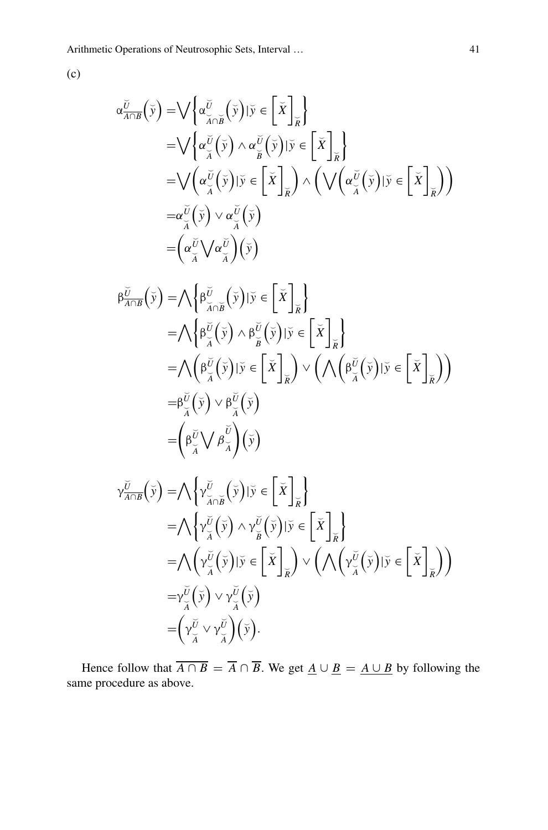(c)

$$
\alpha_{\overline{A}\cap B}^{\overline{U}}(\overline{y}) = \bigvee \left\{ \alpha_{\overline{A}\cap B}^{\overline{U}}(\overline{y}) | \overline{y} \in \left[ \overline{X} \right]_{\overline{R}} \right\} \n= \bigvee \left\{ \alpha_{\overline{A}}^{\overline{U}}(\overline{y}) \wedge \alpha_{\overline{B}}^{\overline{U}}(\overline{y}) | \overline{y} \in \left[ \overline{X} \right]_{\overline{R}} \right\} \n= \bigvee \left( \alpha_{\overline{A}}^{\overline{U}}(\overline{y}) | \overline{y} \in \left[ \overline{X} \right]_{\overline{R}} \right) \wedge \left( \bigvee \left( \alpha_{\overline{A}}^{\overline{U}}(\overline{y}) | \overline{y} \in \left[ \overline{X} \right]_{\overline{R}} \right) \right) \n= \alpha_{\overline{A}}^{\overline{U}}(\overline{y}) \vee \alpha_{\overline{A}}^{\overline{U}}(\overline{y}) \n= \left( \alpha_{\overline{A}}^{\overline{U}} \bigvee \alpha_{\overline{A}}^{\overline{U}} \right) (\overline{y})
$$

$$
\beta \frac{\partial}{\partial \phi}(\tilde{y}) = \bigwedge \left\{ \beta \frac{\partial}{\partial \phi}(\tilde{y}) | \tilde{y} \in \left[ \tilde{X} \right]_{\tilde{R}} \right\}
$$
\n
$$
= \bigwedge \left\{ \beta \frac{\partial}{\partial \phi}(\tilde{y}) \wedge \beta \frac{\partial}{\partial \phi}(\tilde{y}) | \tilde{y} \in \left[ \tilde{X} \right]_{\tilde{R}} \right\}
$$
\n
$$
= \bigwedge \left( \beta \frac{\partial}{\partial \phi}(\tilde{y}) | \tilde{y} \in \left[ \tilde{X} \right]_{\tilde{R}} \right) \vee \left( \bigwedge \left( \beta \frac{\partial}{\partial \phi}(\tilde{y}) | \tilde{y} \in \left[ \tilde{X} \right]_{\tilde{R}} \right) \right)
$$
\n
$$
= \beta \frac{\partial}{\partial \phi}(\tilde{y}) \vee \beta \frac{\partial}{\partial \phi}(\tilde{y})
$$
\n
$$
= \left( \beta \frac{\partial}{\partial \phi}(\tilde{y}) \right) \beta \frac{\partial}{\partial \phi}(\tilde{y})
$$

$$
\gamma_{\overline{A}\cap B}^{\overline{U}}(\overline{y}) = \bigwedge \left\{ \gamma_{\overline{A}\cap B}^{\overline{U}}(\overline{y}) | \overline{y} \in \left[ \overline{X} \right]_{\overline{X}} \right\} \n= \bigwedge \left\{ \gamma_{\overline{A}}^{\overline{U}}(\overline{y}) \wedge \gamma_{\overline{B}}^{\overline{U}}(\overline{y}) | \overline{y} \in \left[ \overline{X} \right]_{\overline{X}} \right\} \n= \bigwedge \left( \gamma_{\overline{A}}^{\overline{U}}(\overline{y}) | \overline{y} \in \left[ \overline{X} \right]_{\overline{X}} \right) \vee \left( \bigwedge \left( \gamma_{\overline{A}}^{\overline{U}}(\overline{y}) | \overline{y} \in \left[ \overline{X} \right]_{\overline{X}} \right) \right) \n= \gamma_{\overline{A}}^{\overline{U}}(\overline{y}) \vee \gamma_{\overline{A}}^{\overline{U}}(\overline{y}) \n= \left( \gamma_{\overline{A}}^{\overline{U}} \vee \gamma_{\overline{A}}^{\overline{U}}(\overline{y}) \right).
$$

Hence follow that  $A \cap B = A \cap B$ . We get  $\underline{A} \cup \underline{B} = \underline{A \cup B}$  by following the same procedure as above.